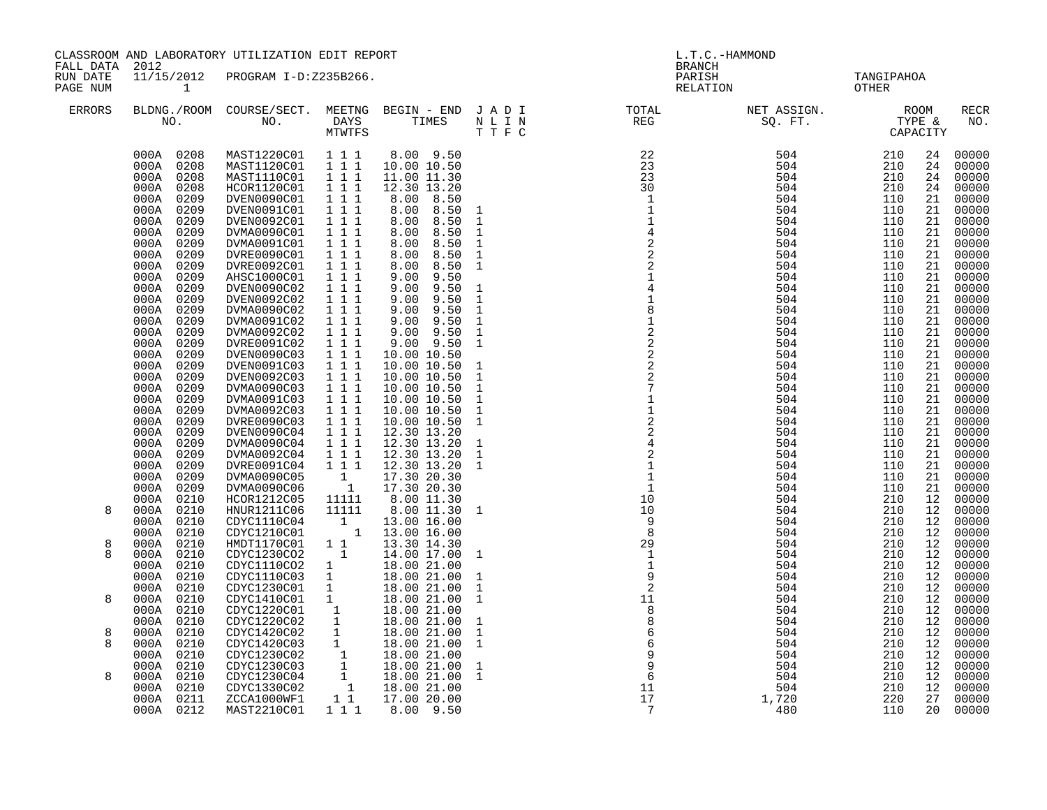| FALL DATA 2012       |                              | CLASSROOM AND LABORATORY UTILIZATION EDIT REPORT                                                                                                                             |                                              |                                                                                       | L.T.C.-HAMMOND<br><b>BRANCH</b> |                                                                                                                                                                                                                                                                                                            |            |          |                    |
|----------------------|------------------------------|------------------------------------------------------------------------------------------------------------------------------------------------------------------------------|----------------------------------------------|---------------------------------------------------------------------------------------|---------------------------------|------------------------------------------------------------------------------------------------------------------------------------------------------------------------------------------------------------------------------------------------------------------------------------------------------------|------------|----------|--------------------|
| RUN DATE<br>PAGE NUM | $\mathbf{1}$                 | 11/15/2012 PROGRAM I-D:Z235B266.                                                                                                                                             |                                              |                                                                                       |                                 | PARISH TANGIPAHOA RELATION OTHER                                                                                                                                                                                                                                                                           |            |          |                    |
| <b>ERRORS</b>        |                              |                                                                                                                                                                              |                                              |                                                                                       |                                 | BLDNG./ROOM COURSE/SECT. MEETNG BEGIN – END JADI TOTAL TOTAL NET ASSIGN. REG ROOM NO. DAYS TIMES NLIN REG SQ.FT. TYPE &                                                                                                                                                                                    |            |          | <b>RECR</b><br>NO. |
|                      | 000A 0208                    | MAST1220C01 111                                                                                                                                                              |                                              | 8.00 9.50                                                                             |                                 | $\begin{array}{cccc} 22 & 504 & 210 \\ 23 & 504 & 210 \\ 23 & 504 & 210 \\ 30 & 504 & 210 \\ 1 & 504 & 210 \\ 1 & 504 & 110 \\ 1 & 504 & 110 \\ 4 & 504 & 110 \\ 2 & 504 & 110 \\ 2 & 504 & 110 \\ 2 & 504 & 110 \\ 2 & 504 & 110 \\ 1 & 504 & 110 \\ 2 & 504 & 110 \\ 1 & 504 & 110 \\ 1 & 504 & 110 \\ $ |            | 24       | 00000              |
|                      | 000A 0208                    | MAST1120C01 111                                                                                                                                                              |                                              | 10.00 10.50                                                                           |                                 |                                                                                                                                                                                                                                                                                                            |            | 24       | 00000              |
|                      | 000A 0208                    | MAST1110C01  1  1  1                                                                                                                                                         |                                              | 11.00 11.30                                                                           |                                 |                                                                                                                                                                                                                                                                                                            |            | 24       | 00000              |
|                      | 000A 0208                    | HCOR1120C01                                                                                                                                                                  | $1 1 1$                                      | 12.30 13.20                                                                           |                                 |                                                                                                                                                                                                                                                                                                            |            | 24       | 00000              |
|                      | 000A 0209<br>000A 0209       | DVEN0090C01<br>DVEN0091C01                                                                                                                                                   | 1 1 1<br>$1 1 1$                             | 8.00 8.50<br>8.00 8.50                                                                |                                 |                                                                                                                                                                                                                                                                                                            |            | 21<br>21 | 00000<br>00000     |
|                      | 000A 0209                    | DVEN0092C01                                                                                                                                                                  | 111                                          | 8.00 8.50                                                                             | $\mathbf{1}$<br>$\mathbf 1$     |                                                                                                                                                                                                                                                                                                            |            | 21       | 00000              |
|                      | 000A 0209                    | DVMA0090C01                                                                                                                                                                  | $1 1 1$                                      | 8.00<br>8.50                                                                          | $\mathbf 1$                     |                                                                                                                                                                                                                                                                                                            |            | 21       | 00000              |
|                      | 000A 0209                    | DVMA0091C01                                                                                                                                                                  | $1\overline{1}$ $1\overline{1}$              | 8.50<br>8.00                                                                          | $\,1\,$                         |                                                                                                                                                                                                                                                                                                            |            | 21       | 00000              |
|                      | 000A 0209                    | DVRE0090C01                                                                                                                                                                  | 1 1 1                                        | 8.00<br>8.50                                                                          | $\mathbf 1$                     |                                                                                                                                                                                                                                                                                                            |            | 21       | 00000              |
|                      | 000A 0209                    | DVRE0092C01                                                                                                                                                                  | 1 1 1                                        | 8.00 8.50                                                                             | $\mathbf{1}$                    |                                                                                                                                                                                                                                                                                                            |            | 21       | 00000              |
|                      | 000A 0209                    | AHSC1000C01                                                                                                                                                                  | 111                                          | $9.00$ $9.50$                                                                         |                                 |                                                                                                                                                                                                                                                                                                            |            | 21       | 00000              |
|                      | 000A<br>0209<br>000A 0209    | DVEN0090C02                                                                                                                                                                  | 111<br>111                                   | $9.00$ $9.50$<br>9.50                                                                 | $\mathbf{1}$<br>$\mathbf{1}$    | 504<br>504                                                                                                                                                                                                                                                                                                 | 110<br>110 | 21<br>21 | 00000<br>00000     |
|                      | 000A 0209                    | DVEN0092C02<br>DVMA0090C02                                                                                                                                                   | 1 1 1                                        | 9.00<br>$9.00$ $9.50$                                                                 | $\mathbf{1}$                    | 504                                                                                                                                                                                                                                                                                                        | 110        | 21       | 00000              |
|                      | 000A 0209                    | DVMA0091C02                                                                                                                                                                  | $1 1 1$                                      | $9.00$ $9.50$                                                                         | $\mathbf 1$                     | 504                                                                                                                                                                                                                                                                                                        | 110        | 21       | 00000              |
|                      | 000A 0209                    | DVMA0092C02                                                                                                                                                                  | $1\ 1\ 1$                                    | 9.00 9.50                                                                             | $\mathbf 1$                     | 504                                                                                                                                                                                                                                                                                                        | 110        | 21       | 00000              |
|                      | 000A 0209                    | DVRE0091C02                                                                                                                                                                  | $1 1 1$                                      | $9.00$ $9.50$                                                                         | $\mathbf{1}$                    | 504                                                                                                                                                                                                                                                                                                        | 110        | 21       | 00000              |
|                      | 000A 0209                    | DVEN0090C03                                                                                                                                                                  | $1 1 1$                                      | 10.00 10.50                                                                           |                                 | 504                                                                                                                                                                                                                                                                                                        | 110        | 21       | 00000              |
|                      | 000A 0209                    | DVEN0091C03                                                                                                                                                                  | $1 1 1$                                      | 10.00 10.50                                                                           | $\mathbf{1}$                    | 504                                                                                                                                                                                                                                                                                                        | 110        | 21       | 00000              |
|                      | 000A 0209                    | DVEN0092C03                                                                                                                                                                  | $1 1 1$                                      | 10.00 10.50                                                                           | $\mathbf{1}$                    | 504<br>504                                                                                                                                                                                                                                                                                                 | 110<br>110 | 21       | 00000              |
|                      | 000A 0209<br>000A 0209       | DVMA0090C03<br>DVMA0091C03                                                                                                                                                   | 1 1 1<br>$1 1 1$                             | 10.00 10.50<br>10.00 10.50                                                            | $\mathbf{1}$<br>$\mathbf{1}$    | 504                                                                                                                                                                                                                                                                                                        | 110        | 21<br>21 | 00000<br>00000     |
|                      | 000A 0209                    | DVMA0092C03                                                                                                                                                                  | 1 1 1                                        | 10.00 10.50                                                                           | $\mathbf{1}$                    | 504                                                                                                                                                                                                                                                                                                        | 110        | 21       | 00000              |
|                      | 000A 0209                    | DVRE0090C03                                                                                                                                                                  | $1 1 1$                                      | 10.00 10.50                                                                           | $\mathbf{1}$                    | 504                                                                                                                                                                                                                                                                                                        | 110        | 21       | 00000              |
|                      | 000A 0209                    | DVEN0090C04                                                                                                                                                                  | 111                                          | 12.30 13.20                                                                           |                                 | 504                                                                                                                                                                                                                                                                                                        | 110        | 21       | 00000              |
|                      | 000A 0209                    | DVMA0090C04                                                                                                                                                                  | $1 1 1$                                      | 12.30 13.20                                                                           | $\mathbf{1}$                    | 504                                                                                                                                                                                                                                                                                                        | 110        | 21       | 00000              |
|                      | 000A 0209                    | DVMA0092C04                                                                                                                                                                  | $1 1 1$                                      | 12.30 13.20                                                                           | $\mathbf{1}$                    | 504                                                                                                                                                                                                                                                                                                        | 110        | 21       | 00000              |
|                      | 000A<br>0209                 | DVRE0091C04                                                                                                                                                                  | $1 1 1$                                      | 12.30 13.20                                                                           | $\mathbf{1}$                    | 504                                                                                                                                                                                                                                                                                                        | 110<br>110 | 21       | 00000              |
|                      | 0209<br>000A<br>0209<br>000A | DVMA0090C05<br>DVMA0090C06                                                                                                                                                   | $\begin{smallmatrix}1\cr-1\end{smallmatrix}$ | 17.30 20.30<br>17.30 20.30                                                            |                                 | 504<br>504                                                                                                                                                                                                                                                                                                 | 110        | 21<br>21 | 00000<br>00000     |
|                      | 000A 0210                    | HCOR1212C05                                                                                                                                                                  | 11111                                        | 8.00 11.30                                                                            |                                 | 504                                                                                                                                                                                                                                                                                                        | 210        | 12       | 00000              |
| 8                    | 000A 0210                    | HNUR1211C06                                                                                                                                                                  | 11111                                        | 8.00 11.30                                                                            | $\mathbf{1}$                    | 504                                                                                                                                                                                                                                                                                                        | 210        | 12       | 00000              |
|                      | 000A 0210                    | CDYC1110C04                                                                                                                                                                  |                                              | 13.00 16.00<br>$\begin{array}{cc} 1 & 13.00 & 16.00 \\ 1 & 13.00 & 16.00 \end{array}$ |                                 | 504                                                                                                                                                                                                                                                                                                        | 210        | 12       | 00000              |
|                      | 000A 0210                    | CDYC1210C01                                                                                                                                                                  |                                              |                                                                                       |                                 | 504                                                                                                                                                                                                                                                                                                        | 210        | 12       | 00000              |
| 8                    | 000A 0210                    | HMDT1170C01 1 1                                                                                                                                                              |                                              | 13.30 14.30                                                                           |                                 | 504                                                                                                                                                                                                                                                                                                        | 210        | 12       | 00000              |
| 8                    | 000A 0210                    | CDYC1230CO2                                                                                                                                                                  | $\overline{\mathbf{1}}$                      | 14.00 17.00                                                                           | $\mathbf{1}$                    | 504                                                                                                                                                                                                                                                                                                        | 210<br>210 | 12       | 00000              |
|                      | 000A 0210<br>000A 0210       | CDYC1110CO2 1<br>CDYC1110C03 1                                                                                                                                               |                                              | 18.00 21.00<br>18.00 21.00                                                            | $\mathbf{1}$                    | 504<br>504                                                                                                                                                                                                                                                                                                 | 210        | 12<br>12 | 00000<br>00000     |
|                      | 000A 0210                    | CDYC1230C01 1                                                                                                                                                                |                                              | 18.00 21.00                                                                           | $\mathbf{1}$                    | 504                                                                                                                                                                                                                                                                                                        | 210        | 12       | 00000              |
| 8                    | 000A 0210                    |                                                                                                                                                                              |                                              | 18.00 21.00                                                                           | $\mathbf{1}$                    | 504                                                                                                                                                                                                                                                                                                        | 210        | 12       | 00000              |
|                      | 000A<br>0210                 |                                                                                                                                                                              |                                              | 18.00 21.00                                                                           |                                 | 504                                                                                                                                                                                                                                                                                                        | 210        | 12       | 00000              |
|                      | 000A 0210                    |                                                                                                                                                                              |                                              | 18.00 21.00                                                                           | $\mathbf{1}$                    | 504                                                                                                                                                                                                                                                                                                        | 210        | 12       | 00000              |
| 8                    | 000A<br>0210                 | CDYC1410C01 1<br>CDYC1220C01 1<br>CDYC1220C02 1<br>CDYC1420C02 1                                                                                                             |                                              | 18.00 21.00                                                                           | $\mathbf 1$                     | 504                                                                                                                                                                                                                                                                                                        | 210        | 12       | 00000              |
| 8                    | 0210<br>000A                 |                                                                                                                                                                              |                                              |                                                                                       | $\mathbf{1}$                    | 504                                                                                                                                                                                                                                                                                                        | 210        | 12       | 00000              |
|                      | 0210<br>000A                 |                                                                                                                                                                              |                                              |                                                                                       |                                 | 504                                                                                                                                                                                                                                                                                                        | 210<br>210 | 12       | 00000              |
| 8                    | 000A<br>0210<br>0210<br>000A |                                                                                                                                                                              |                                              |                                                                                       | $\mathbf{1}$<br>$\mathbf{1}$    | 504                                                                                                                                                                                                                                                                                                        | 210        | 12<br>12 | 00000<br>00000     |
|                      | 000A 0210                    |                                                                                                                                                                              |                                              |                                                                                       |                                 |                                                                                                                                                                                                                                                                                                            | 210        | 12       | 00000              |
|                      | 000A 0211                    | CDVC1420C03 1 18.00 21.00<br>CDVC1230C02 1 18.00 21.00<br>CDVC1230C02 1 18.00 21.00<br>CDVC1230C03 1 18.00 21.00<br>CDVC1330C02 1 18.00 21.00<br>CCCA1000WF1 1 1 17.00 20.00 |                                              |                                                                                       |                                 | $504$<br>504<br>,720<br>480<br>1,720                                                                                                                                                                                                                                                                       | 220        | 27       | 00000              |
|                      | 000A 0212                    | MAST2210C01                                                                                                                                                                  | 111                                          | 8.00 9.50                                                                             |                                 | 480                                                                                                                                                                                                                                                                                                        | 110        | 20       | 00000              |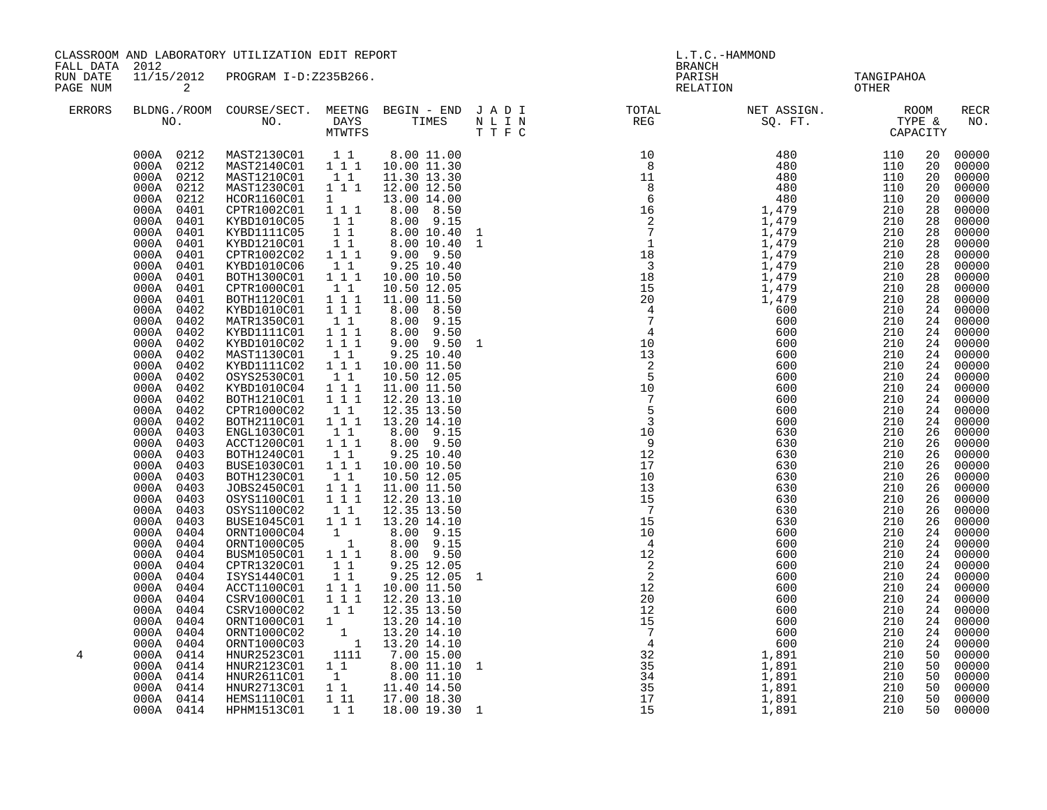| FALL DATA 2012       | CLASSROOM AND LABORATORY UTILIZATION EDIT REPORT                                                                                                                                                                                                                                                                                                                                                                                                                                                                                                     |                                                                                                                                                                                                                                                                                                                                                                                                                                                                                                                                                                                                                                                                                                                                   |                                                                                                                                                                                                                                                                                                                                                                                                                                                                                                                                       |                                                                                                                                                                                                                                                                                                                                                                                                                                                                                                                                                                                                                                                  | L.T.C.-HAMMOND<br><b>BRANCH</b> |                                                                                                                                                                                                                                                                                                                                                                                                                                                                                                                                                                                                                                                                        |                     |                                                                                                                                                                                                                                                           |                                                                                                                                                                                                                                                                                                                                                                                                       |
|----------------------|------------------------------------------------------------------------------------------------------------------------------------------------------------------------------------------------------------------------------------------------------------------------------------------------------------------------------------------------------------------------------------------------------------------------------------------------------------------------------------------------------------------------------------------------------|-----------------------------------------------------------------------------------------------------------------------------------------------------------------------------------------------------------------------------------------------------------------------------------------------------------------------------------------------------------------------------------------------------------------------------------------------------------------------------------------------------------------------------------------------------------------------------------------------------------------------------------------------------------------------------------------------------------------------------------|---------------------------------------------------------------------------------------------------------------------------------------------------------------------------------------------------------------------------------------------------------------------------------------------------------------------------------------------------------------------------------------------------------------------------------------------------------------------------------------------------------------------------------------|--------------------------------------------------------------------------------------------------------------------------------------------------------------------------------------------------------------------------------------------------------------------------------------------------------------------------------------------------------------------------------------------------------------------------------------------------------------------------------------------------------------------------------------------------------------------------------------------------------------------------------------------------|---------------------------------|------------------------------------------------------------------------------------------------------------------------------------------------------------------------------------------------------------------------------------------------------------------------------------------------------------------------------------------------------------------------------------------------------------------------------------------------------------------------------------------------------------------------------------------------------------------------------------------------------------------------------------------------------------------------|---------------------|-----------------------------------------------------------------------------------------------------------------------------------------------------------------------------------------------------------------------------------------------------------|-------------------------------------------------------------------------------------------------------------------------------------------------------------------------------------------------------------------------------------------------------------------------------------------------------------------------------------------------------------------------------------------------------|
| RUN DATE<br>PAGE NUM | $\overline{a}$                                                                                                                                                                                                                                                                                                                                                                                                                                                                                                                                       | 11/15/2012 PROGRAM I-D:Z235B266.                                                                                                                                                                                                                                                                                                                                                                                                                                                                                                                                                                                                                                                                                                  |                                                                                                                                                                                                                                                                                                                                                                                                                                                                                                                                       |                                                                                                                                                                                                                                                                                                                                                                                                                                                                                                                                                                                                                                                  |                                 | PARISH<br>RELATION                                                                                                                                                                                                                                                                                                                                                                                                                                                                                                                                                                                                                                                     | TANGIPAHOA<br>OTHER |                                                                                                                                                                                                                                                           |                                                                                                                                                                                                                                                                                                                                                                                                       |
| ERRORS               |                                                                                                                                                                                                                                                                                                                                                                                                                                                                                                                                                      |                                                                                                                                                                                                                                                                                                                                                                                                                                                                                                                                                                                                                                                                                                                                   |                                                                                                                                                                                                                                                                                                                                                                                                                                                                                                                                       |                                                                                                                                                                                                                                                                                                                                                                                                                                                                                                                                                                                                                                                  |                                 | $\begin{tabular}{lllllllllllllllllllll} \textsc{BLONG.} \textsc{ROOM} & \textsc{CUIRSE/SECT.} & \textsc{METNG} & \textsc{BEGIN} & - & \textsc{END} & \textsc{J} & \textsc{A} & \textsc{D} & \textsc{I} & & & \textsc{TOTAL} & & \textsc{NET} & \textsc{ASIGN.} & & \textsc{ROOM} \\ \textsc{NO.} & \textsc{NO.} & \textsc{DAYS} & \textsc{TIMES} & \textsc{N} & \textsc{L} & \textsc{I} & \textsc{N} & & \textsc{EEG} & & \textsc{SQ. FT.}$                                                                                                                                                                                                                            |                     |                                                                                                                                                                                                                                                           | RECR<br>NO.                                                                                                                                                                                                                                                                                                                                                                                           |
|                      | 000A 0212<br>000A 0212<br>000A 0212<br>000A 0401<br>000A 0401<br>000A 0401<br>000A 0401<br>000A 0401<br>000A 0401<br>000A 0401<br>000A 0401<br>0401<br>000A<br>000A 0402<br>000A 0402<br>000A 0402<br>000A 0402<br>000A 0402<br>000A 0402<br>000A 0402<br>000A 0402<br>000A 0402<br>000A 0402<br>000A 0402<br>000A 0403<br>000A 0403<br>000A 0403<br>000A 0403<br>000A 0403<br>000A 0403<br>000A 0403<br>000A 0403<br>000A 0403<br>000A 0404<br>000A 0404<br>000A 0404<br>000A 0404<br>000A 0404<br>000A 0404<br>000A 0404<br>000A 0404<br>000A 0404 | 000A 0212 MAST2130C01 11<br>000A 0212 MAST2140C01 111<br>MAST1210C01 1 1<br>MAST1230C01<br>HCOR1160C01<br>CPTR1002C01 111<br>KYBD1010C05<br>KYBD1111C05<br>KYBD1210C01<br>CPTR1002C02 1 1 1<br>KYBD1010C06<br>BOTH1300C01<br>CPTR1000C01 11<br>BOTH1120C01 111<br>KYBD1010C01   1   1<br>MATR1350C01   1   1<br>KYBD1111C01<br>KYBD1010C02<br>MAST1130C01<br>KYBD1111C02<br>OSYS2530C01<br>KYBD1010C04 111<br>BOTH1210C01<br>CPTR1000C02<br>BOTH2110C01<br>ENGL1030C01 11<br>ACCT1200C01 111<br>BOTH1240C01<br>BUSE1030C01<br>BOTH1230C01<br>JOBS2450C01<br>OSYS1100C01<br>OSYS1100C02<br>BUSE1045C01<br>ORNT1000C04<br>ORNT1000C05<br>BUSM1050C01 111<br>CPTR1320C01<br>ISYS1440C01<br>ACCT1100C01<br>CSRV1000C01<br>CSRV1000C02 | 1 1 1<br>1<br>$\begin{array}{rr} & 1 & 1 \\ & 1 & 1 \end{array}$<br>11<br>$\begin{smallmatrix}1&1\\1&1\end{smallmatrix}$<br>$1 1 1$<br>$1 1 1$<br>$1\quad1$<br>$1\ 1\ 1$<br>11<br>111<br>$\begin{smallmatrix}1&1\\1&1&1\end{smallmatrix}$<br>$\begin{smallmatrix}1&1\\1&1&1\end{smallmatrix}$<br>$1\quad1$<br>$1 \quad 1 \quad 1$<br>$\frac{1}{1}$ $\frac{1}{1}$ $\frac{1}{1}$<br>11<br>$1 1 1$<br>$\begin{bmatrix} 1 \\ 1 \end{bmatrix}$<br>$1\quad1$<br>11<br>$1 1 1$<br>$\begin{smallmatrix} 1 & 1 & 1 \\ 1 & 1 \end{smallmatrix}$ | 8.00 11.00<br>10.00 11.30<br>11.30 13.30<br>12.00 12.50<br>13.00 14.00<br>8.00 8.50<br>8.00 9.15<br>8.00 10.40<br>8.00 10.40<br>9.00 9.50<br>$9.25$ $10.40$<br>10.00 10.50<br>10.50 12.05<br>11.00 11.50<br>8.00 8.50<br>8.00 9.15<br>8.00 9.50<br>$9.00$ $9.50$<br>$9.25\ 10.40$<br>10.00 11.50<br>10.50 12.05<br>11.00 11.50<br>12.20 13.10<br>12.35 13.50<br>13.20 14.10<br>8.00 9.15<br>8.00 9.50<br>$9.25$ $10.40$<br>10.00 10.50<br>10.50 12.05<br>11.00 11.50<br>12.20 13.10<br>12.35 13.50<br>13.20 14.10<br>8.00 9.15<br>8.00 9.15<br>8.00 9.50<br>9.25 12.05<br>9.25 12.05<br>10.00 11.50<br>12.20 13.10<br>12.35 13.50<br>13.20 14.10 | $\mathbf{1}$                    | $\begin{array}{cccccccc} \text{T} & \text{T} & \text{F} & \text{C} & \text{C} & \text{C} & \text{C} \\ \text{T} & \text{T} & \text{C} & \text{C} & \text{C} & \text{C} \\ \text{10} & 10 & 480 & 110 & 110 & 110 \\ 12 & 480 & 1110 & 110 & 110 \\ 13 & 480 & 1110 & 110 & 110 \\ 14 & 479 & 110 & 110 & 110 \\ 15 & 1479 & 110 & 110 & 110 \\ 16 & 147$<br>$\begin{array}{cccc} 63\text{L} & 63\text{C} & 63\text{C} \\ 630 & 630 & 630 \\ 630 & 630 & 2\text{L} \\ 10 & 600 & 210 & 210 \\ 12 & 600 & 210 & 210 \\ 2 & 600 & 210 & 600 \\ 12 & 600 & 600 & 600 \\ 12 & 600 & 600 & 600 \\ 15 & 600 & 600 & 600 \\ 14 & 600 & 600 & 600 \\ 15 & 600 & 600 & 600 \\ 1$ |                     | 20<br>20<br>20<br>20<br>20<br>28<br>28<br>28<br>28<br>28<br>28<br>28<br>28<br>28<br>24<br>24<br>24<br>24<br>24<br>24<br>24<br>24<br>26<br>$\overline{26}$<br>26<br>26<br>26<br>26<br>26<br>26<br>26<br>24<br>24<br>24<br>24<br>24<br>24<br>24<br>24<br>24 | 00000<br>00000<br>00000<br>00000<br>00000<br>00000<br>00000<br>00000<br>00000<br>00000<br>00000<br>00000<br>00000<br>00000<br>00000<br>24 00000<br>00000<br>24 00000<br>00000<br>24 00000<br>00000<br>00000<br>00000<br>00000<br>$00000$<br>$00000$<br>$00000$<br>00000<br>00000<br>00000<br>00000<br>00000<br>00000<br>00000<br>00000<br>00000<br>00000<br>00000<br>00000<br>00000<br>00000<br>00000 |
| 4                    | 000A 0404<br>000A 0404<br>000A<br>0414<br>000A<br>0414<br>000A<br>0414<br>000A 0414<br>000A 0414<br>000A 0414                                                                                                                                                                                                                                                                                                                                                                                                                                        | 0RNT1000C01 1<br>0RNT1000C02 1<br>0RNT1000C02 1<br>HNUR2523C01 1111<br>HNUR2523C01<br>HNUR2123C01<br>HNUR2611C01<br>HNUR2713C01<br>HEMS1110C01<br>HPHM1513C01                                                                                                                                                                                                                                                                                                                                                                                                                                                                                                                                                                     | $1\quad1$                                                                                                                                                                                                                                                                                                                                                                                                                                                                                                                             | 13.20 14.10<br>13.20 14.10<br>7.00 15.00<br>$\begin{array}{cccc} 1 & 1 & 8.00 & 11.10 & 1 \ 1 & 8.00 & 11.10 & 1 \ 1 & 11.40 & 14.50 \ 1 & 11 & 17.00 & 18.30 \end{array}$<br>18.00 19.30 1                                                                                                                                                                                                                                                                                                                                                                                                                                                      |                                 |                                                                                                                                                                                                                                                                                                                                                                                                                                                                                                                                                                                                                                                                        |                     | 24<br>24<br>50<br>50<br>50<br>50<br>50                                                                                                                                                                                                                    | 00000<br>00000<br>00000<br>00000<br>$00000$<br>00000<br>00000<br>00000<br>50 00000                                                                                                                                                                                                                                                                                                                    |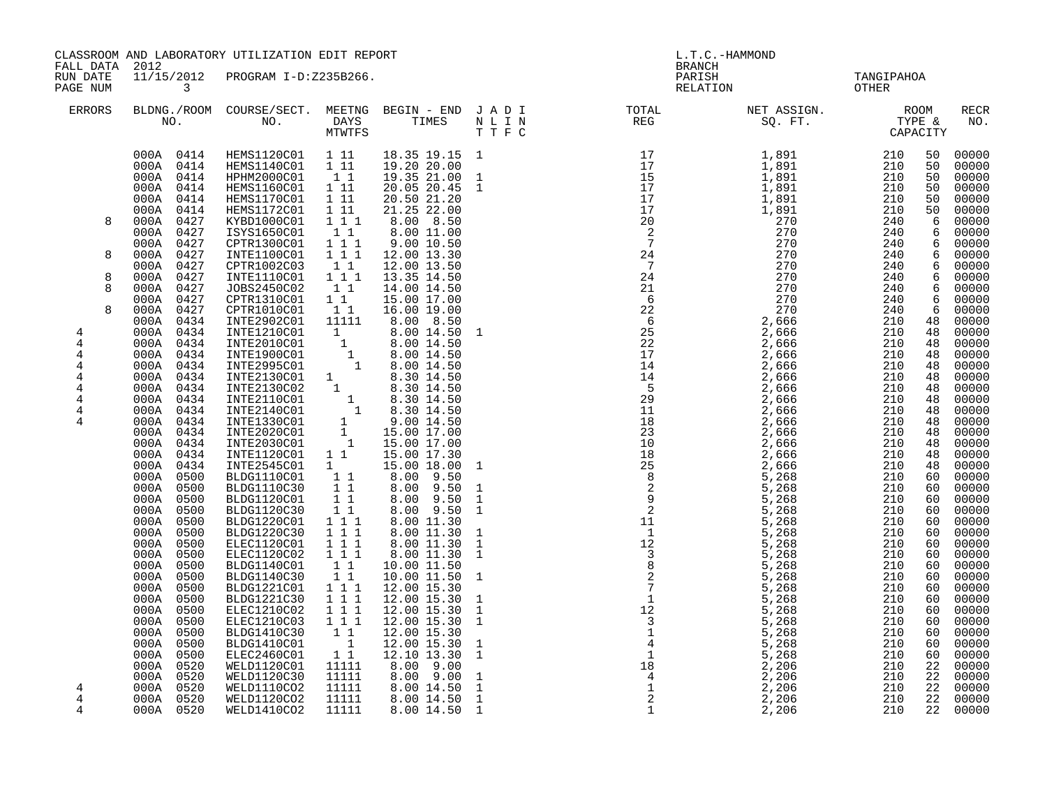| FALL DATA 2012                                                                                                 | CLASSROOM AND LABORATORY UTILIZATION EDIT REPORT                                                                                                                                                                                                                                                                                                                                                                                                                                                                                                                                                                                                                   |                                                                                                                                                                                                                                                                                                                                                                                                                                                                                                                                                                                                                                                                                                                                                                                                                                                                                           |                                                                                                                                                                                                                                                                                                                                         |                                                                                                                                                                                                                                                                                                                                                                                                                                                                                                                                                                             |                   | L.T.C.-HAMMOND<br><b>BRANCH</b>                                                                                                                                                                                                                                                                                                                                                                                                          |                                     |     |                                                                                                                                                                                                                                                                                                         |                                                                                                                                                                                                                                                                                                                                                                                                                                                       |
|----------------------------------------------------------------------------------------------------------------|--------------------------------------------------------------------------------------------------------------------------------------------------------------------------------------------------------------------------------------------------------------------------------------------------------------------------------------------------------------------------------------------------------------------------------------------------------------------------------------------------------------------------------------------------------------------------------------------------------------------------------------------------------------------|-------------------------------------------------------------------------------------------------------------------------------------------------------------------------------------------------------------------------------------------------------------------------------------------------------------------------------------------------------------------------------------------------------------------------------------------------------------------------------------------------------------------------------------------------------------------------------------------------------------------------------------------------------------------------------------------------------------------------------------------------------------------------------------------------------------------------------------------------------------------------------------------|-----------------------------------------------------------------------------------------------------------------------------------------------------------------------------------------------------------------------------------------------------------------------------------------------------------------------------------------|-----------------------------------------------------------------------------------------------------------------------------------------------------------------------------------------------------------------------------------------------------------------------------------------------------------------------------------------------------------------------------------------------------------------------------------------------------------------------------------------------------------------------------------------------------------------------------|-------------------|------------------------------------------------------------------------------------------------------------------------------------------------------------------------------------------------------------------------------------------------------------------------------------------------------------------------------------------------------------------------------------------------------------------------------------------|-------------------------------------|-----|---------------------------------------------------------------------------------------------------------------------------------------------------------------------------------------------------------------------------------------------------------------------------------------------------------|-------------------------------------------------------------------------------------------------------------------------------------------------------------------------------------------------------------------------------------------------------------------------------------------------------------------------------------------------------------------------------------------------------------------------------------------------------|
| RUN DATE<br>PAGE NUM                                                                                           | $\overline{3}$                                                                                                                                                                                                                                                                                                                                                                                                                                                                                                                                                                                                                                                     | 11/15/2012 PROGRAM I-D:Z235B266.                                                                                                                                                                                                                                                                                                                                                                                                                                                                                                                                                                                                                                                                                                                                                                                                                                                          |                                                                                                                                                                                                                                                                                                                                         |                                                                                                                                                                                                                                                                                                                                                                                                                                                                                                                                                                             |                   |                                                                                                                                                                                                                                                                                                                                                                                                                                          | PARISH TANGIPAHOA<br>RELATION OTHER |     |                                                                                                                                                                                                                                                                                                         |                                                                                                                                                                                                                                                                                                                                                                                                                                                       |
| <b>ERRORS</b>                                                                                                  |                                                                                                                                                                                                                                                                                                                                                                                                                                                                                                                                                                                                                                                                    |                                                                                                                                                                                                                                                                                                                                                                                                                                                                                                                                                                                                                                                                                                                                                                                                                                                                                           |                                                                                                                                                                                                                                                                                                                                         |                                                                                                                                                                                                                                                                                                                                                                                                                                                                                                                                                                             |                   | $\begin{tabular}{lllllllllllllllllllll} \textsc{BLONG.} & \textsc{ROUN.} & \textsc{ROUN.} & \textsc{NEST.} & \textsc{NEST.} & \textsc{NEST.} & \textsc{NEST.} & \textsc{NEST.} & \textsc{NEST.} & \textsc{NEST.} & \textsc{NEST.} & \textsc{NEST.} & \textsc{NEST.} & \textsc{NEST.} & \textsc{NEST.} & \textsc{NEST.} & \textsc{NEST.} & \textsc{NEST.} & \textsc{NEST.} & \textsc{NEST.} & \textsc{NEST.} & \textsc{NEST.} & \textsc{$ |                                     |     |                                                                                                                                                                                                                                                                                                         | <b>RECR</b><br>NO.                                                                                                                                                                                                                                                                                                                                                                                                                                    |
| 8<br>8<br>8<br>8<br>8<br>4<br>$\overline{4}$<br>4<br>4<br>4<br>4<br>$\overline{4}$<br>$\overline{4}$<br>4<br>4 | 000A 0414<br>000A 0414<br>000A 0414<br>000A 0414<br>000A 0414<br>000A 0414<br>000A 0427<br>000A 0427<br>000A 0427<br>000A 0427<br>000A 0427<br>000A 0427<br>000A 0427<br>000A 0427<br>000A 0427<br>000A 0434<br>000A 0434<br>000A 0434<br>000A 0434<br>000A 0434<br>000A 0434<br>000A 0434<br>000A 0434<br>000A 0434<br>000A 0434<br>000A 0434<br>000A 0434<br>000A 0434<br>000A 0434<br>000A 0500<br>000A 0500<br>000A 0500<br>000A 0500<br>000A 0500<br>000A 0500<br>000A 0500<br>0500<br>000A<br>0500<br>000A<br>0500<br>000A<br>000A 0500<br>000A 0500<br>000A 0500<br>000A 0500<br>000A 0500<br>000A 0500<br>000A 0500<br>000A 0520<br>000A 0520<br>000A 0520 | HEMS1120C01 1 11<br>HEMS1140C01 1 11<br>HPHM2000C01<br>HEMS1160C01 1 11<br>HEMS1170C01 1 11<br>HEMS1172C01<br>KYBD1000C01<br>ISYS1650C01<br>CPTR1300C01 111<br>INTE1100C01<br>CPTR1002C03<br>INTE1110C01<br>JOBS2450C02<br>CPTR1310C01<br>CPTR1010C01<br>INTE2902C01 11111<br>INTE2902C01 11111 8.00 8.50<br>INTE210C01 1 8.00 14.50<br>INTE2010C01 1 8.00 14.50<br>INTE1900C01 1 8.00 14.50<br>INTE1900C01 1 8.00 14.50<br>INTE2130C01 1 8.30 14.50<br>INTE2130C02 1 8.30 14.50<br>INTE2110C01 1 8.30 14.50<br>INTE2140C01<br>INTE1120C01 1 1<br>INTE2545C01 1<br>BLDG1110C01 1 1<br>BLDG1110C30 1 1<br>BLDG1120C01<br>BLDG1120C30<br>BLDG1220C01<br>BLDG1220C30<br>ELEC1120C01<br>ELEC1120C02<br>BLDG1140C01<br>BLDG1140C30<br>BLDG1221C01<br>BLDG1221C30<br>ELEC1210C02<br>ELEC1210C03 1 1 1<br>BLDG1410C30<br>BLDG1410C01<br>ELEC2460C01<br>WELD1120C01<br>WELD1120C30<br>WELD1110CO2 | $1\quad1$<br>1 11<br>$1 1 1$<br>$1\quad1$<br>$1 1 1$<br>$\begin{bmatrix} 1\\ 1\\ 1 \end{bmatrix}$<br>$1\quad1$<br>1 1<br>$1\quad1$<br>$1\quad 1$<br>11<br>111<br>111<br>$1 1 1$<br>$1 1 1$<br>$1\quad1$<br>$\overline{1}$ 1<br>1 1 1<br>$1 1 1$<br>111<br>$1\quad1$<br>$\overline{\phantom{a}}$<br>$1\quad1$<br>11111<br>11111<br>11111 | 18.35 19.15 1<br>19.20 20.00<br>19.35 21.00 1<br>20.05 20.45 1<br>20.50 21.20<br>21.25 22.00<br>8.00 8.50<br>8.00 11.00<br>9.00 10.50<br>12.00 13.30<br>12.00 13.50<br>13.35 14.50<br>14.00 14.50<br>15.00 17.00<br>16.00 19.00<br>8.00 8.50<br>15.00 17.30<br>15.00 18.00<br>8.00 9.50<br>$8.00$ $9.50$<br>8.00 9.50<br>8.00 9.50<br>8.00 11.30<br>8.00 11.30<br>8.00 11.30<br>$8.00$ 11.30<br>10.00 11.50<br>10.00 11.50<br>12.00 15.30<br>12.00 15.30<br>12.00 15.30<br>12.00 15.30<br>12.00 15.30<br>12.00 15.30<br>12.10 13.30<br>8.00 9.00<br>8.00 9.00<br>8.00 14.50 | 1<br><sup>1</sup> | $\begin{smallmatrix} 80.782\\ \text{R1} & 11 & 0\\ 11 & 11 & 0\\ 11 & 11 & 0\\ 11 & 11 & 0\\ 11 & 11 & 0\\ 11 & 11 & 0\\ 11 & 11 & 0\\ 11 & 11 & 0\\ 11 & 11 & 0\\ 11 & 11 & 0\\ 11 & 11 & 0\\ 11 & 11 & 0\\ 11 & 11 & 0\\ 11 & 11 & 0\\ 11 & 11 & 0\\ 11 & 11 & 0\\ 11 & 11 & 0\\ 11 & 11 & 0\\ 11 & $                                                                                                                                  |                                     |     | 50<br>50<br>50<br>50<br>50<br>50<br>6<br>6<br>$6\overline{6}$<br>6<br>6<br>6<br>6<br>6<br>6<br>48<br>48<br>48<br>48<br>48<br>48<br>48<br>48<br>48<br>48<br>48<br>48<br>48<br>48<br>60<br>60<br>60<br>60<br>60<br>60<br>60<br>60<br>60<br>60<br>60<br>60<br>60<br>60<br>60<br>60<br>60<br>22<br>22<br>22 | 00000<br>00000<br>00000<br>00000<br>00000<br>00000<br>00000<br>00000<br>00000<br>00000<br>00000<br>00000<br>00000<br>00000<br>00000<br>00000<br>00000<br>00000<br>00000<br>00000<br>00000<br>00000<br>00000<br>00000<br>00000<br>00000<br>00000<br>00000<br>00000<br>00000<br>00000<br>00000<br>00000<br>00000<br>00000<br>00000<br>00000<br>00000<br>00000<br>00000<br>00000<br>00000<br>00000<br>00000<br>00000<br>00000<br>00000<br>00000<br>00000 |
| 4<br>4                                                                                                         | 000A 0520<br>000A 0520                                                                                                                                                                                                                                                                                                                                                                                                                                                                                                                                                                                                                                             | WELD1120CO2<br>WELD1410CO2                                                                                                                                                                                                                                                                                                                                                                                                                                                                                                                                                                                                                                                                                                                                                                                                                                                                | 11111<br>11111                                                                                                                                                                                                                                                                                                                          | 8.00 14.50<br>8.00 14.50                                                                                                                                                                                                                                                                                                                                                                                                                                                                                                                                                    |                   |                                                                                                                                                                                                                                                                                                                                                                                                                                          |                                     | 210 | 22<br>22                                                                                                                                                                                                                                                                                                | 00000<br>00000                                                                                                                                                                                                                                                                                                                                                                                                                                        |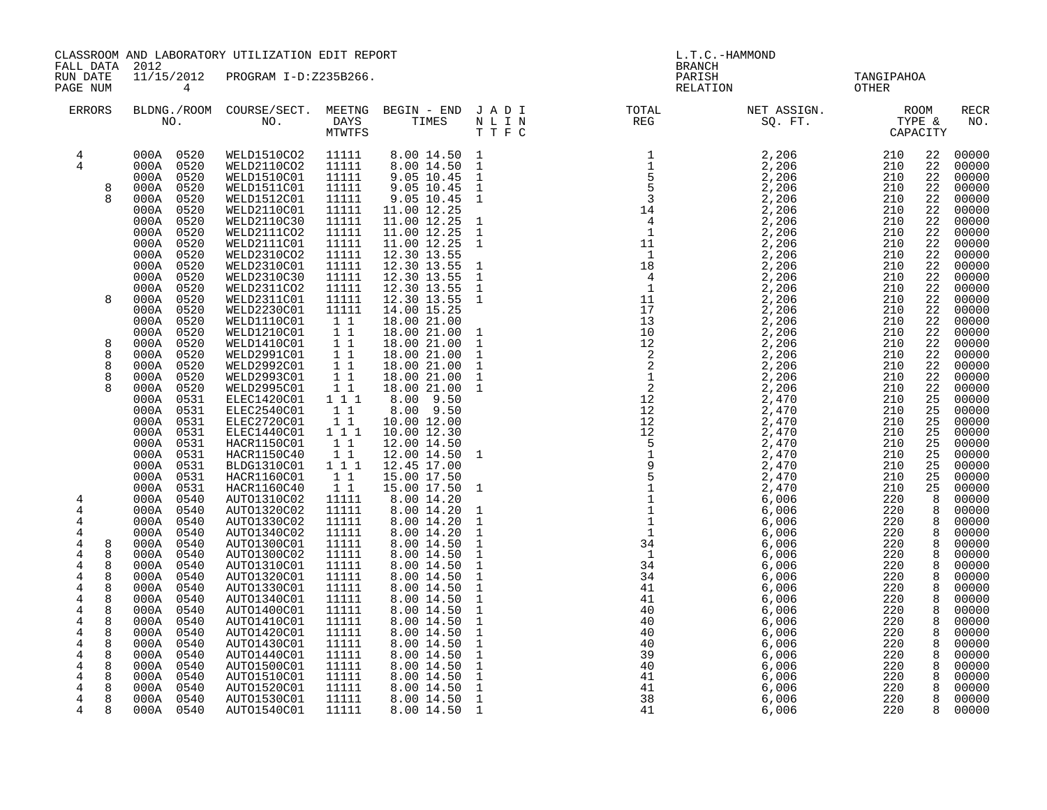|                      | CLASSROOM AND LABORATORY UTILIZATION EDIT REPORT<br>FALL DATA 2012 |                                  |                                                     |                              | L.T.C.-HAMMOND<br><b>BRANCH</b> |  |                                                                                                                                                                                                                                                                                                                                                                                                                                                                                                                                                                       |                     |                |                    |
|----------------------|--------------------------------------------------------------------|----------------------------------|-----------------------------------------------------|------------------------------|---------------------------------|--|-----------------------------------------------------------------------------------------------------------------------------------------------------------------------------------------------------------------------------------------------------------------------------------------------------------------------------------------------------------------------------------------------------------------------------------------------------------------------------------------------------------------------------------------------------------------------|---------------------|----------------|--------------------|
| RUN DATE<br>PAGE NUM | $\overline{4}$                                                     | 11/15/2012 PROGRAM I-D:Z235B266. |                                                     |                              |                                 |  | PARISH<br>RELATION                                                                                                                                                                                                                                                                                                                                                                                                                                                                                                                                                    | TANGIPAHOA<br>OTHER |                |                    |
| <b>ERRORS</b>        |                                                                    |                                  |                                                     |                              |                                 |  | BLDNG./ROOM COURSE/SECT. MEETNG BEGIN – END JADI TOTAL MET ASSIGN. MET ASSIGN. ROOM NO. DAYS TIMES NLIN REG SQ.FT. TYPE &<br>$\begin{tabular}{cccc} \texttt{L} & \texttt{R} & \texttt{C} & \texttt{C} & \texttt{C} & \texttt{C} \\ \texttt{L} & \texttt{R} & \texttt{C} & \texttt{C} & \texttt{C} \\ \texttt{L} & \texttt{R} & \texttt{R} & \texttt{R} & \texttt{R} \\ \texttt{L} & \texttt{R} & \texttt{R} & \texttt{R} & \texttt{R} \\ \texttt{L} & \texttt{R} & \texttt{R} & \texttt{R} & \texttt{R} \\ \texttt{L} & \texttt{R} & \texttt{R} & \texttt{R} & \text$ |                     |                | <b>RECR</b><br>NO. |
| $\overline{4}$       | 000A 0520                                                          | WELD1510CO2                      | 11111                                               | 8.00 14.50 1<br>8.00 14.50 1 |                                 |  |                                                                                                                                                                                                                                                                                                                                                                                                                                                                                                                                                                       |                     | 22             | 00000              |
| $\overline{4}$       | 000A 0520                                                          | WELD2110CO2                      | 11111                                               |                              |                                 |  |                                                                                                                                                                                                                                                                                                                                                                                                                                                                                                                                                                       |                     | 22             | 00000              |
| 8                    | 000A 0520<br>000A 0520                                             | WELD1510C01<br>WELD1511C01       | 11111<br>11111                                      | 9.05 10.45<br>9.05 10.45     | $\mathbf{1}$<br>$\mathbf{1}$    |  |                                                                                                                                                                                                                                                                                                                                                                                                                                                                                                                                                                       |                     | 22<br>22       | 00000<br>00000     |
|                      | 000A 0520                                                          | WELD1512C01                      | 11111                                               | 9.05 10.45                   | $\mathbf{1}$                    |  |                                                                                                                                                                                                                                                                                                                                                                                                                                                                                                                                                                       |                     | 22             | 00000              |
|                      | 0520<br>000A                                                       | WELD2110C01                      | 11111                                               | 11.00 12.25                  |                                 |  |                                                                                                                                                                                                                                                                                                                                                                                                                                                                                                                                                                       |                     | 22             | 00000              |
|                      | 000A<br>0520                                                       | WELD2110C30                      | 11111                                               | 11.00 12.25                  | $\mathbf{1}$                    |  |                                                                                                                                                                                                                                                                                                                                                                                                                                                                                                                                                                       |                     | 22             | 00000              |
|                      | 0520<br>000A                                                       | WELD2111CO2                      | 11111                                               | 11.00 12.25                  |                                 |  |                                                                                                                                                                                                                                                                                                                                                                                                                                                                                                                                                                       |                     | 22             | 00000              |
|                      | 000A<br>0520                                                       | WELD2111C01                      | 11111                                               | 11.00 12.25                  | $\frac{1}{1}$                   |  |                                                                                                                                                                                                                                                                                                                                                                                                                                                                                                                                                                       |                     | 22             | 00000              |
|                      | 0520<br>000A                                                       | WELD2310CO2                      | 11111                                               | 12.30 13.55                  |                                 |  |                                                                                                                                                                                                                                                                                                                                                                                                                                                                                                                                                                       |                     | 22             | 00000              |
|                      | 0520<br>000A                                                       | WELD2310C01                      | 11111                                               | 12.30 13.55                  | $\mathbf{1}$                    |  |                                                                                                                                                                                                                                                                                                                                                                                                                                                                                                                                                                       |                     | 22             | 00000              |
|                      | 0520<br>000A                                                       | WELD2310C30                      | 11111                                               | 12.30 13.55                  | $\mathbf{1}$                    |  |                                                                                                                                                                                                                                                                                                                                                                                                                                                                                                                                                                       |                     | 22             | 00000              |
|                      | 000A<br>0520                                                       | WELD2311CO2                      | 11111                                               | 12.30 13.55                  | $\mathbf{1}$                    |  |                                                                                                                                                                                                                                                                                                                                                                                                                                                                                                                                                                       |                     | 22             | 00000              |
| 8                    | 0520<br>000A                                                       | WELD2311C01                      | 11111                                               | 12.30 13.55                  | $\mathbf{1}$                    |  |                                                                                                                                                                                                                                                                                                                                                                                                                                                                                                                                                                       |                     | 22             | 00000              |
|                      | 000A<br>0520                                                       | WELD2230C01                      | 11111                                               | 14.00 15.25                  |                                 |  |                                                                                                                                                                                                                                                                                                                                                                                                                                                                                                                                                                       |                     | 22             | 00000              |
|                      | 000A<br>0520<br>000A<br>0520                                       | WELD1110C01<br>WELD1210C01       | 11<br>11                                            | 18.00 21.00<br>18.00 21.00   | $\mathbf{1}$                    |  |                                                                                                                                                                                                                                                                                                                                                                                                                                                                                                                                                                       |                     | 22<br>22       | 00000<br>00000     |
| 8                    | 0520<br>000A                                                       | WELD1410C01                      | 11                                                  | 18.00 21.00                  | $\mathbf{1}$                    |  |                                                                                                                                                                                                                                                                                                                                                                                                                                                                                                                                                                       |                     | 22             | 00000              |
| 8                    | 000A 0520                                                          | WELD2991C01                      | 11                                                  | 18.00 21.00                  | $\mathbf{1}$                    |  |                                                                                                                                                                                                                                                                                                                                                                                                                                                                                                                                                                       |                     | 22             | 00000              |
| 8                    | 000A 0520                                                          | WELD2992C01                      |                                                     | 18.00 21.00                  | $\mathbf 1$                     |  |                                                                                                                                                                                                                                                                                                                                                                                                                                                                                                                                                                       |                     | 22             | 00000              |
| 8                    | 000A 0520                                                          | WELD2993C01                      | $\begin{array}{ccc} & 1 & 1 \\ & 1 & 1 \end{array}$ | 18.00 21.00                  | $\mathbf{1}$                    |  |                                                                                                                                                                                                                                                                                                                                                                                                                                                                                                                                                                       |                     | 22             | 00000              |
| 8                    | 000A 0520                                                          | WELD2995C01 1 1                  |                                                     | 18.00 21.00                  | $\mathbf{1}$                    |  |                                                                                                                                                                                                                                                                                                                                                                                                                                                                                                                                                                       |                     | 22             | 00000              |
|                      | 000A 0531                                                          | ELEC1420C01 111                  |                                                     | 8.00 9.50                    |                                 |  |                                                                                                                                                                                                                                                                                                                                                                                                                                                                                                                                                                       |                     | 25             | 00000              |
|                      | 000A 0531                                                          | ELEC2540C01                      | $1\quad1$                                           | 8.00 9.50                    |                                 |  |                                                                                                                                                                                                                                                                                                                                                                                                                                                                                                                                                                       |                     | 25             | 00000              |
|                      | 000A 0531                                                          | ELEC2720C01                      | 11                                                  | 10.00 12.00                  |                                 |  |                                                                                                                                                                                                                                                                                                                                                                                                                                                                                                                                                                       |                     | 25             | 00000              |
|                      | 000A 0531                                                          | ELEC1440C01 111                  | 11                                                  | 10.00 12.30                  |                                 |  |                                                                                                                                                                                                                                                                                                                                                                                                                                                                                                                                                                       |                     | 25<br>25       | 00000<br>00000     |
|                      | 000A 0531<br>000A 0531                                             | HACR1150C01<br>HACR1150C40       |                                                     | 12.00 14.50                  | $\mathbf{1}$                    |  |                                                                                                                                                                                                                                                                                                                                                                                                                                                                                                                                                                       |                     | 25             | 00000              |
|                      | 000A<br>0531                                                       | BLDG1310C01                      | $\begin{smallmatrix}1&1\\1&1&1\end{smallmatrix}$    | 12.00 14.50<br>12.45 17.00   |                                 |  |                                                                                                                                                                                                                                                                                                                                                                                                                                                                                                                                                                       |                     | 25             | 00000              |
|                      | 000A<br>0531                                                       | HACR1160C01                      | 1 1                                                 | 15.00 17.50                  |                                 |  |                                                                                                                                                                                                                                                                                                                                                                                                                                                                                                                                                                       |                     | 25             | 00000              |
|                      | 000A<br>0531                                                       | HACR1160C40                      | 11                                                  | 15.00 17.50                  | $\mathbf{1}$                    |  |                                                                                                                                                                                                                                                                                                                                                                                                                                                                                                                                                                       |                     | 25             | 00000              |
| $\overline{4}$       | 000A<br>0540                                                       | AUTO1310C02                      | 11111                                               | 8.00 14.20                   |                                 |  |                                                                                                                                                                                                                                                                                                                                                                                                                                                                                                                                                                       |                     | $\overline{8}$ | 00000              |
| 4                    | 0540<br>000A                                                       | AUTO1320C02                      | 11111                                               | 8.00 14.20                   | 1                               |  |                                                                                                                                                                                                                                                                                                                                                                                                                                                                                                                                                                       |                     | 8              | 00000              |
| 4                    | 0540<br>000A                                                       | AUTO1330C02                      | 11111                                               | 8.00 14.20                   | $\mathbf{1}$                    |  |                                                                                                                                                                                                                                                                                                                                                                                                                                                                                                                                                                       |                     | 8              | 00000              |
| 4                    | 0540<br>000A                                                       | AUTO1340C02                      | 11111                                               | 8.00 14.20                   | $\mathbf{1}$                    |  |                                                                                                                                                                                                                                                                                                                                                                                                                                                                                                                                                                       |                     | 8              | 00000              |
| 4<br>8               | 0540<br>000A                                                       | AUTO1300C01                      | 11111                                               | 8.00 14.50                   | $\mathbf{1}$                    |  |                                                                                                                                                                                                                                                                                                                                                                                                                                                                                                                                                                       |                     | 8              | 00000              |
| 4<br>8               | 0540<br>000A                                                       | AUTO1300C02                      | 11111                                               | 8.00 14.50                   | $\mathbf{1}$                    |  |                                                                                                                                                                                                                                                                                                                                                                                                                                                                                                                                                                       |                     | 8              | 00000              |
| 8<br>4<br>8          | 000A<br>0540<br>0540                                               | AUTO1310C01<br>AUTO1320C01       | 11111<br>11111                                      | 8.0014.50<br>8.00 14.50      | $\mathbf 1$<br>$\mathbf{1}$     |  |                                                                                                                                                                                                                                                                                                                                                                                                                                                                                                                                                                       |                     | 8              | 00000<br>00000     |
| 4<br>8<br>4          | 000A<br>000A 0540                                                  | AUTO1330C01                      | 11111                                               | 8.00 14.50                   | $\mathbf{1}$                    |  |                                                                                                                                                                                                                                                                                                                                                                                                                                                                                                                                                                       |                     | 8<br>8         | 00000              |
| 8<br>4               | 000A 0540                                                          | AUTO1340C01                      | 11111                                               | 8.00 14.50                   | $\,1\,$                         |  |                                                                                                                                                                                                                                                                                                                                                                                                                                                                                                                                                                       |                     | 8              | 00000              |
| 4<br>8               | 000A 0540                                                          | AUTO1400C01                      | 11111                                               | 8.00 14.50                   | $\mathbf{1}$                    |  |                                                                                                                                                                                                                                                                                                                                                                                                                                                                                                                                                                       |                     | 8              | 00000              |
| 8<br>4               | 000A 0540                                                          | AUTO1410C01                      | 11111                                               | 8.00 14.50                   | $\mathbf{1}$                    |  |                                                                                                                                                                                                                                                                                                                                                                                                                                                                                                                                                                       |                     | 8              | 00000              |
| $\overline{4}$<br>8  | 000A 0540                                                          | AUTO1420C01                      | 11111                                               | 8.00 14.50                   | $\mathbf 1$                     |  |                                                                                                                                                                                                                                                                                                                                                                                                                                                                                                                                                                       |                     | 8              | 00000              |
| 4<br>8               | 000A 0540                                                          | AUTO1430C01                      | 11111                                               | 8.00 14.50                   | $\mathbf{1}$                    |  |                                                                                                                                                                                                                                                                                                                                                                                                                                                                                                                                                                       |                     | 8              | 00000              |
| $\overline{4}$<br>8  | 000A 0540                                                          | AUTO1440C01                      | 11111                                               | 8.00 14.50                   | $\mathbf{1}$                    |  |                                                                                                                                                                                                                                                                                                                                                                                                                                                                                                                                                                       |                     | 8              | 00000              |
| 4<br>8               | 000A 0540                                                          | AUTO1500C01                      | 11111                                               | 8.00 14.50                   | $\mathbf{1}$                    |  |                                                                                                                                                                                                                                                                                                                                                                                                                                                                                                                                                                       |                     | 8              | 00000              |
| $\overline{4}$<br>8  | 000A 0540                                                          | AUTO1510C01                      | 11111                                               | 8.00 14.50                   | $\frac{1}{1}$                   |  |                                                                                                                                                                                                                                                                                                                                                                                                                                                                                                                                                                       |                     | 8              | 00000              |
| 4<br>8               | 000A 0540                                                          | AUTO1520C01                      | 11111                                               | 8.00 14.50                   |                                 |  |                                                                                                                                                                                                                                                                                                                                                                                                                                                                                                                                                                       |                     | 8              | 00000              |
| 8<br>4<br>4<br>8     | 000A 0540<br>000A 0540                                             | AUTO1530C01                      | 11111<br>11111                                      | 8.00 14.50                   | $\mathbf 1$<br>1                |  |                                                                                                                                                                                                                                                                                                                                                                                                                                                                                                                                                                       | 220                 | 8<br>8         | 00000              |
|                      |                                                                    | AUTO1540C01                      |                                                     | 8.00 14.50                   |                                 |  |                                                                                                                                                                                                                                                                                                                                                                                                                                                                                                                                                                       |                     |                | 00000              |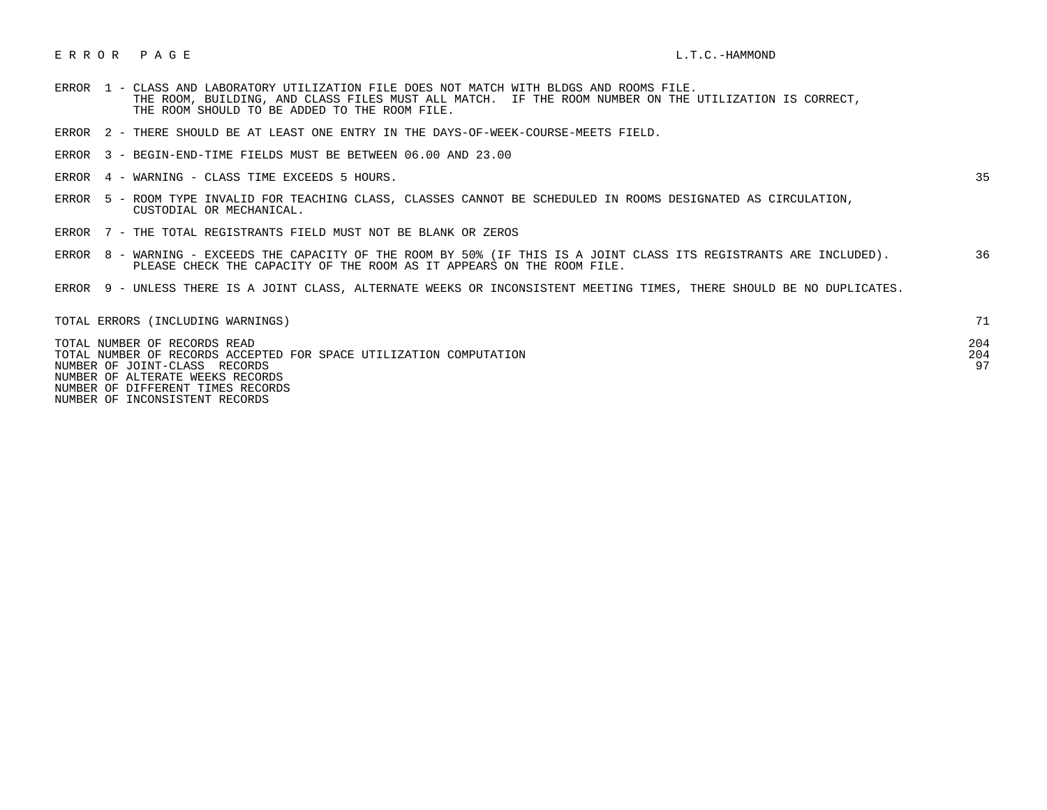## E R R O R P A G E L.T.C. – HAMMOND

- ERROR 1 CLASS AND LABORATORY UTILIZATION FILE DOES NOT MATCH WITH BLDGS AND ROOMS FILE. THE ROOM, BUILDING, AND CLASS FILES MUST ALL MATCH. IF THE ROOM NUMBER ON THE UTILIZATION IS CORRECT, THE ROOM SHOULD TO BE ADDED TO THE ROOM FILE.
- ERROR 2 THERE SHOULD BE AT LEAST ONE ENTRY IN THE DAYS-OF-WEEK-COURSE-MEETS FIELD.
- ERROR 3 BEGIN-END-TIME FIELDS MUST BE BETWEEN 06.00 AND 23.00
- ERROR 4 WARNING CLASS TIME EXCEEDS 5 HOURS. 35

- ERROR 5 ROOM TYPE INVALID FOR TEACHING CLASS, CLASSES CANNOT BE SCHEDULED IN ROOMS DESIGNATED AS CIRCULATION, CUSTODIAL OR MECHANICAL.
- ERROR 7 THE TOTAL REGISTRANTS FIELD MUST NOT BE BLANK OR ZEROS
- ERROR 8 WARNING EXCEEDS THE CAPACITY OF THE ROOM BY 50% (IF THIS IS A JOINT CLASS ITS REGISTRANTS ARE INCLUDED). 36 PLEASE CHECK THE CAPACITY OF THE ROOM AS IT APPEARS ON THE ROOM FILE.
- ERROR 9 UNLESS THERE IS A JOINT CLASS, ALTERNATE WEEKS OR INCONSISTENT MEETING TIMES, THERE SHOULD BE NO DUPLICATES.

| TOTAL ERRORS (INCLUDING WARNINGS)                                  |     |
|--------------------------------------------------------------------|-----|
| TOTAL NUMBER OF RECORDS READ                                       | 204 |
| TOTAL NUMBER OF RECORDS ACCEPTED FOR SPACE UTILIZATION COMPUTATION | 204 |
| NUMBER OF JOINT-CLASS RECORDS                                      | 97  |
| NUMBER OF ALTERATE WEEKS RECORDS                                   |     |
| NUMBER OF DIFFERENT TIMES RECORDS                                  |     |

NUMBER OF INCONSISTENT RECORDS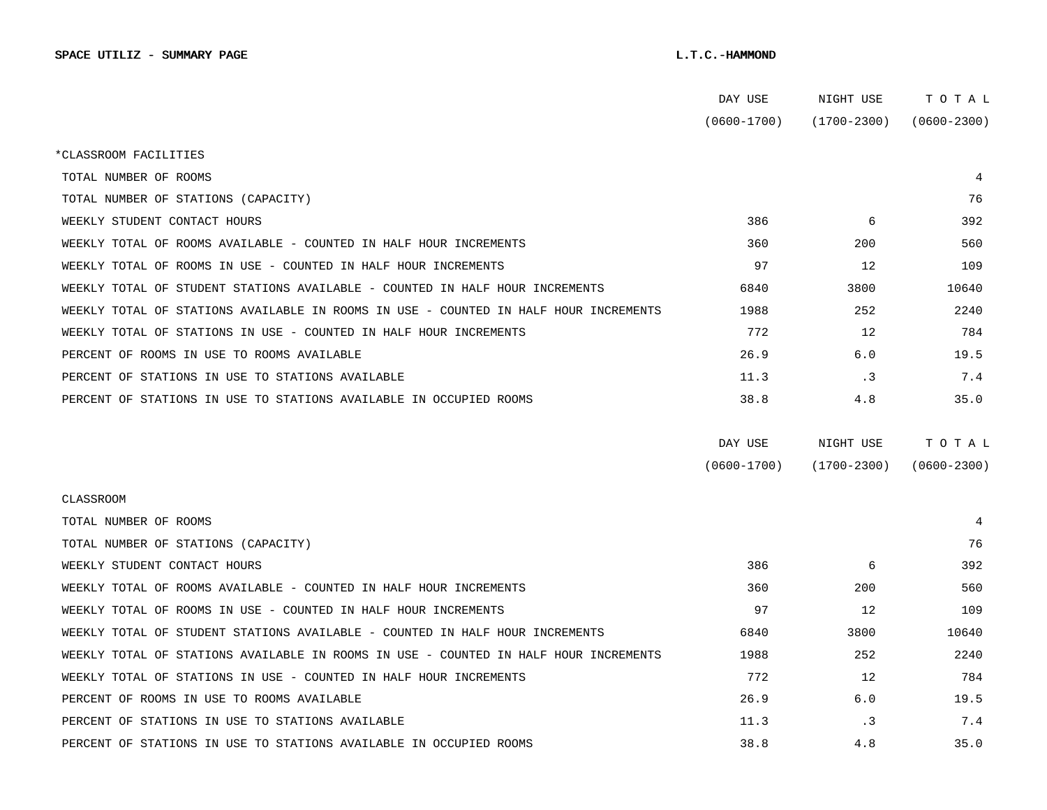|                                                                                      | DAY USE         | NIGHT USE       | TOTAL           |
|--------------------------------------------------------------------------------------|-----------------|-----------------|-----------------|
|                                                                                      | $(0600 - 1700)$ | $(1700 - 2300)$ | $(0600 - 2300)$ |
| *CLASSROOM FACILITIES                                                                |                 |                 |                 |
| TOTAL NUMBER OF ROOMS                                                                |                 |                 | 4               |
| TOTAL NUMBER OF STATIONS (CAPACITY)                                                  |                 |                 | 76              |
| WEEKLY STUDENT CONTACT HOURS                                                         | 386             | 6               | 392             |
| WEEKLY TOTAL OF ROOMS AVAILABLE - COUNTED IN HALF HOUR INCREMENTS                    | 360             | 200             | 560             |
| WEEKLY TOTAL OF ROOMS IN USE - COUNTED IN HALF HOUR INCREMENTS                       | 97              | 12              | 109             |
| WEEKLY TOTAL OF STUDENT STATIONS AVAILABLE - COUNTED IN HALF HOUR INCREMENTS         | 6840            | 3800            | 10640           |
| WEEKLY TOTAL OF STATIONS AVAILABLE IN ROOMS IN USE - COUNTED IN HALF HOUR INCREMENTS | 1988            | 252             | 2240            |
| WEEKLY TOTAL OF STATIONS IN USE - COUNTED IN HALF HOUR INCREMENTS                    | 772             | 12              | 784             |
| PERCENT OF ROOMS IN USE TO ROOMS AVAILABLE                                           | 26.9            | 6.0             | 19.5            |
| PERCENT OF STATIONS IN USE TO STATIONS AVAILABLE                                     | 11.3            | $\cdot$ 3       | 7.4             |
| PERCENT OF STATIONS IN USE TO STATIONS AVAILABLE IN OCCUPIED ROOMS                   | 38.8            | 4.8             | 35.0            |
|                                                                                      |                 |                 |                 |
|                                                                                      | DAY USE         | NIGHT USE       | TOTAL           |
|                                                                                      | $(0600 - 1700)$ | $(1700 - 2300)$ | $(0600 - 2300)$ |
| <b>CLASSROOM</b>                                                                     |                 |                 |                 |
| TOTAL NUMBER OF ROOMS                                                                |                 |                 | 4               |
| TOTAL NUMBER OF STATIONS (CAPACITY)                                                  |                 |                 | 76              |
| WEEKLY STUDENT CONTACT HOURS                                                         | 386             | 6               | 392             |
| WEEKLY TOTAL OF ROOMS AVAILABLE - COUNTED IN HALF HOUR INCREMENTS                    | 360             | 200             | 560             |
| WEEKLY TOTAL OF ROOMS IN USE - COUNTED IN HALF HOUR INCREMENTS                       | 97              | 12              | 109             |
| WEEKLY TOTAL OF STUDENT STATIONS AVAILABLE - COUNTED IN HALF HOUR INCREMENTS         | 6840            | 3800            | 10640           |
| WEEKLY TOTAL OF STATIONS AVAILABLE IN ROOMS IN USE - COUNTED IN HALF HOUR INCREMENTS | 1988            | 252             | 2240            |
| WEEKLY TOTAL OF STATIONS IN USE - COUNTED IN HALF HOUR INCREMENTS                    | 772             | 12              | 784             |
| PERCENT OF ROOMS IN USE TO ROOMS AVAILABLE                                           | 26.9            | 6.0             | 19.5            |
| PERCENT OF STATIONS IN USE TO STATIONS AVAILABLE                                     | 11.3            | . 3             | 7.4             |
| PERCENT OF STATIONS IN USE TO STATIONS AVAILABLE IN OCCUPIED ROOMS                   | 38.8            | 4.8             | 35.0            |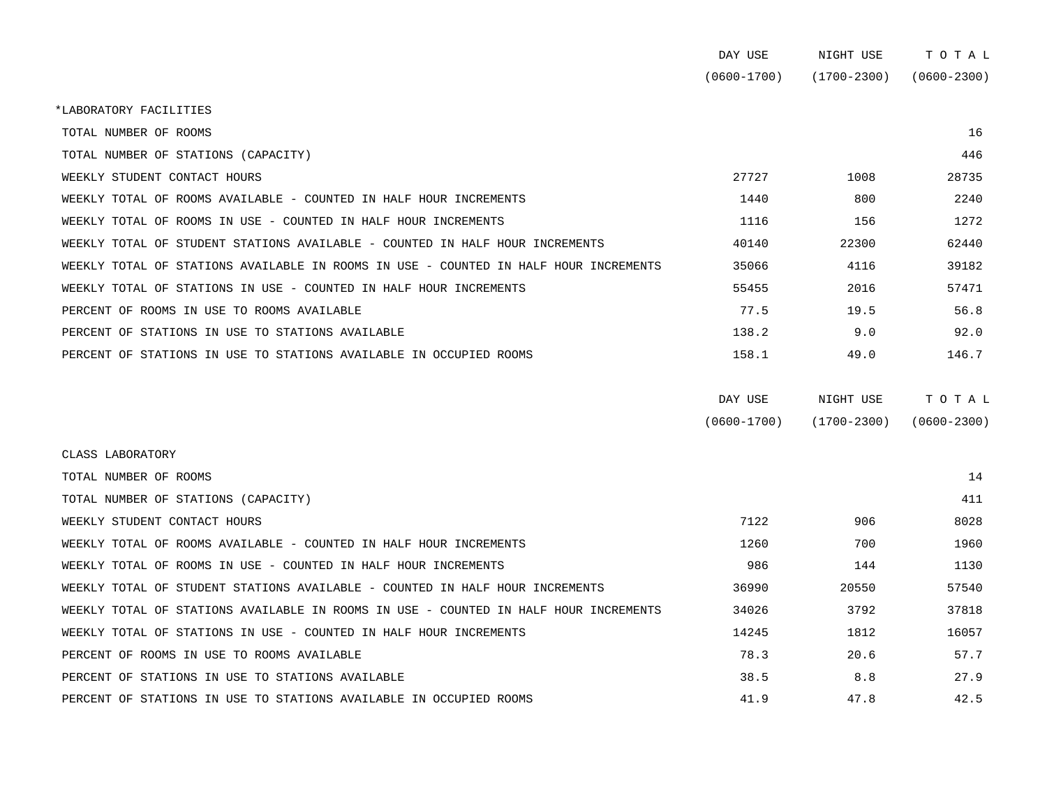|                                                                                      | DAY USE         | NIGHT USE       | TOTAL           |
|--------------------------------------------------------------------------------------|-----------------|-----------------|-----------------|
|                                                                                      | $(0600 - 1700)$ | $(1700 - 2300)$ | $(0600 - 2300)$ |
| *LABORATORY FACILITIES                                                               |                 |                 |                 |
| TOTAL NUMBER OF ROOMS                                                                |                 |                 | 16              |
| TOTAL NUMBER OF STATIONS (CAPACITY)                                                  |                 |                 | 446             |
| WEEKLY STUDENT CONTACT HOURS                                                         | 27727           | 1008            | 28735           |
| WEEKLY TOTAL OF ROOMS AVAILABLE - COUNTED IN HALF HOUR INCREMENTS                    | 1440            | 800             | 2240            |
| WEEKLY TOTAL OF ROOMS IN USE - COUNTED IN HALF HOUR INCREMENTS                       | 1116            | 156             | 1272            |
| WEEKLY TOTAL OF STUDENT STATIONS AVAILABLE - COUNTED IN HALF HOUR INCREMENTS         | 40140           | 22300           | 62440           |
| WEEKLY TOTAL OF STATIONS AVAILABLE IN ROOMS IN USE - COUNTED IN HALF HOUR INCREMENTS | 35066           | 4116            | 39182           |
| WEEKLY TOTAL OF STATIONS IN USE - COUNTED IN HALF HOUR INCREMENTS                    | 55455           | 2016            | 57471           |
| PERCENT OF ROOMS IN USE TO ROOMS AVAILABLE                                           | 77.5            | 19.5            | 56.8            |
| PERCENT OF STATIONS IN USE TO STATIONS AVAILABLE                                     | 138.2           | 9.0             | 92.0            |
| PERCENT OF STATIONS IN USE TO STATIONS AVAILABLE IN OCCUPIED ROOMS                   | 158.1           | 49.0            | 146.7           |
|                                                                                      |                 |                 |                 |

| DAY USE         | NIGHT USE       | тотаь           |
|-----------------|-----------------|-----------------|
| $(0600 - 1700)$ | $(1700 - 2300)$ | $(0600 - 2300)$ |

| CLASS LABORATORY                                                                     |       |       |       |
|--------------------------------------------------------------------------------------|-------|-------|-------|
| TOTAL NUMBER OF ROOMS                                                                |       |       | 14    |
| TOTAL NUMBER OF STATIONS (CAPACITY)                                                  |       |       | 411   |
| WEEKLY STUDENT CONTACT HOURS                                                         | 7122  | 906   | 8028  |
| WEEKLY TOTAL OF ROOMS AVAILABLE - COUNTED IN HALF HOUR INCREMENTS                    | 1260  | 700   | 1960  |
| WEEKLY TOTAL OF ROOMS IN USE - COUNTED IN HALF HOUR INCREMENTS                       | 986   | 144   | 1130  |
| WEEKLY TOTAL OF STUDENT STATIONS AVAILABLE - COUNTED IN HALF HOUR INCREMENTS         | 36990 | 20550 | 57540 |
| WEEKLY TOTAL OF STATIONS AVAILABLE IN ROOMS IN USE - COUNTED IN HALF HOUR INCREMENTS | 34026 | 3792  | 37818 |
| WEEKLY TOTAL OF STATIONS IN USE - COUNTED IN HALF HOUR INCREMENTS                    | 14245 | 1812  | 16057 |
| PERCENT OF ROOMS IN USE TO ROOMS AVAILABLE                                           | 78.3  | 20.6  | 57.7  |
| PERCENT OF STATIONS IN USE TO STATIONS AVAILABLE                                     | 38.5  | 8.8   | 27.9  |
| PERCENT OF STATIONS IN USE TO STATIONS AVAILABLE IN OCCUPIED ROOMS                   | 41.9  | 47.8  | 42.5  |